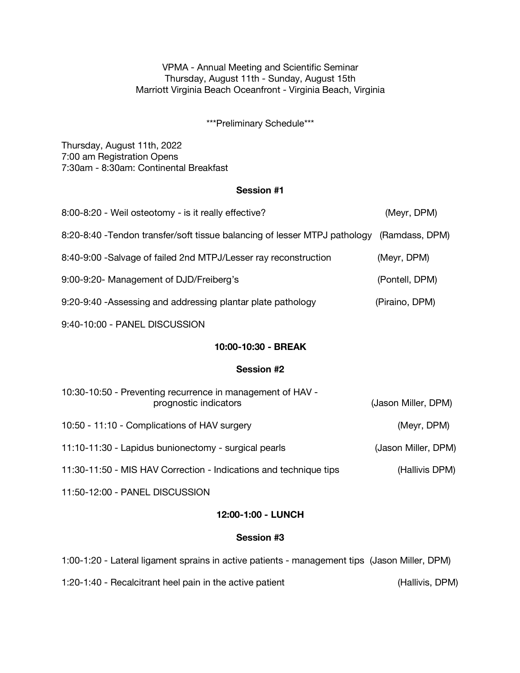VPMA - Annual Meeting and Scientific Seminar Thursday, August 11th - Sunday, August 15th Marriott Virginia Beach Oceanfront - Virginia Beach, Virginia

\*\*\*Preliminary Schedule\*\*\*

Thursday, August 11th, 2022 7:00 am Registration Opens 7:30am - 8:30am: Continental Breakfast

#### **Session #1**

| 8:00-8:20 - Weil osteotomy - is it really effective?                                      | (Meyr, DPM)         |  |
|-------------------------------------------------------------------------------------------|---------------------|--|
| 8:20-8:40 - Tendon transfer/soft tissue balancing of lesser MTPJ pathology (Ramdass, DPM) |                     |  |
| 8:40-9:00 - Salvage of failed 2nd MTPJ/Lesser ray reconstruction                          | (Meyr, DPM)         |  |
| 9:00-9:20- Management of DJD/Freiberg's                                                   | (Pontell, DPM)      |  |
| 9:20-9:40 - Assessing and addressing plantar plate pathology                              | (Piraino, DPM)      |  |
| 9:40-10:00 - PANEL DISCUSSION                                                             |                     |  |
| 10:00-10:30 - BREAK                                                                       |                     |  |
| <b>Session #2</b>                                                                         |                     |  |
| 10:30-10:50 - Preventing recurrence in management of HAV -<br>prognostic indicators       | (Jason Miller, DPM) |  |
| 10:50 - 11:10 - Complications of HAV surgery                                              | (Meyr, DPM)         |  |
| 11:10-11:30 - Lapidus bunionectomy - surgical pearls                                      | (Jason Miller, DPM) |  |
| 11:30-11:50 - MIS HAV Correction - Indications and technique tips                         | (Hallivis DPM)      |  |
|                                                                                           |                     |  |

11:50-12:00 - PANEL DISCUSSION

## **12:00-1:00 - LUNCH**

## **Session #3**

1:00-1:20 - Lateral ligament sprains in active patients - management tips (Jason Miller, DPM)

1:20-1:40 - Recalcitrant heel pain in the active patient (Hallivis, DPM)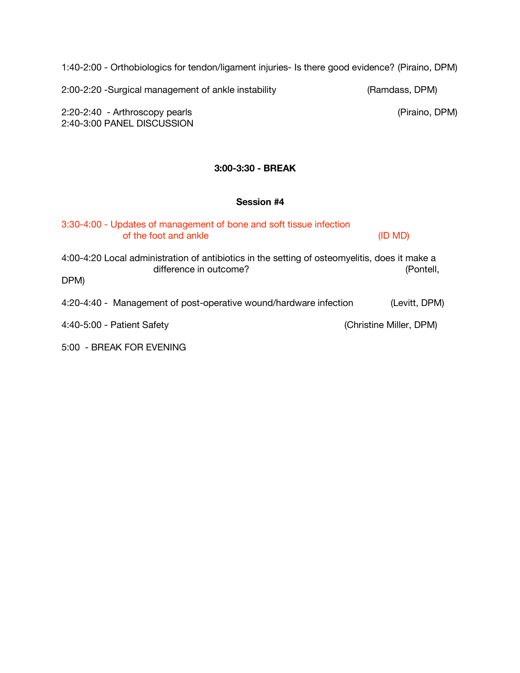1:40-2:00 - Orthobiologics for tendon/ligament injuries- Is there good evidence? (Piraino, DPM)

2:00-2:20 -Surgical management of ankle instability (Ramdass, DPM)

2:20-2:40 - Arthroscopy pearls (Piraino, DPM) 2:40-3:00 PANEL DISCUSSION

## **3:00-3:30 - BREAK**

## **Session #4**

| 3:30-4:00 - Updates of management of bone and soft tissue infection<br>of the foot and ankle                                    | (ID MD)                 |
|---------------------------------------------------------------------------------------------------------------------------------|-------------------------|
| 4:00-4:20 Local administration of antibiotics in the setting of osteomyelitis, does it make a<br>difference in outcome?<br>DPM) | (Pontell,               |
| 4:20-4:40 - Management of post-operative wound/hardware infection                                                               | (Levitt, DPM)           |
| 4:40-5:00 - Patient Safety                                                                                                      | (Christine Miller, DPM) |
| 5:00 - BREAK FOR EVENING                                                                                                        |                         |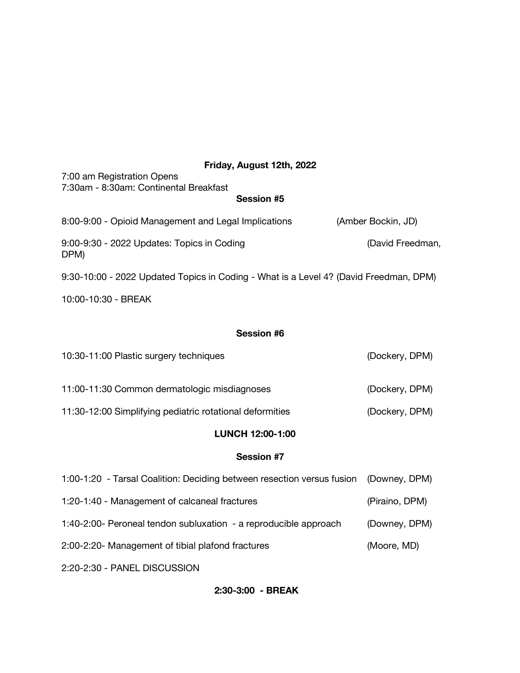# **Friday, August 12th, 2022**

| FIIUAY, AUYUSU IZUI, ZUZZ                                                             |                    |
|---------------------------------------------------------------------------------------|--------------------|
| 7:00 am Registration Opens                                                            |                    |
| 7:30am - 8:30am: Continental Breakfast                                                |                    |
| <b>Session #5</b>                                                                     |                    |
| 8:00-9:00 - Opioid Management and Legal Implications                                  | (Amber Bockin, JD) |
| 9:00-9:30 - 2022 Updates: Topics in Coding<br>DPM)                                    | (David Freedman,   |
| 9:30-10:00 - 2022 Updated Topics in Coding - What is a Level 4? (David Freedman, DPM) |                    |
| 10:00-10:30 - BREAK                                                                   |                    |
|                                                                                       |                    |
| <b>Session #6</b>                                                                     |                    |
| 10:30-11:00 Plastic surgery techniques                                                | (Dockery, DPM)     |
| 11:00-11:30 Common dermatologic misdiagnoses                                          | (Dockery, DPM)     |

11:30-12:00 Simplifying pediatric rotational deformities (Dockery, DPM)

# **LUNCH 12:00-1:00**

## **Session #7**

| 1:00-1:20 - Tarsal Coalition: Deciding between resection versus fusion (Downey, DPM) |                |
|--------------------------------------------------------------------------------------|----------------|
| 1:20-1:40 - Management of calcaneal fractures                                        | (Piraino, DPM) |
| 1:40-2:00- Peroneal tendon subluxation - a reproducible approach                     | (Downey, DPM)  |
| 2:00-2:20- Management of tibial plafond fractures                                    | (Moore, MD)    |
| 2:20-2:30 - PANEL DISCUSSION                                                         |                |

**2:30-3:00 - BREAK**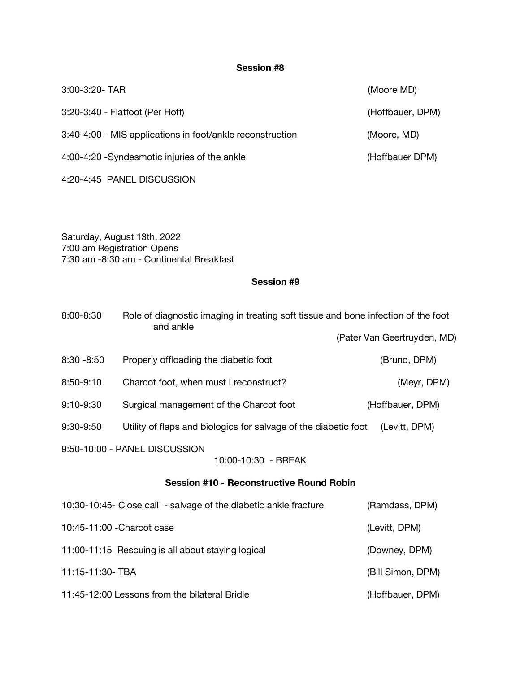# **Session #8**

| 3:00-3:20- TAR                                            | (Moore MD)       |
|-----------------------------------------------------------|------------------|
| 3:20-3:40 - Flatfoot (Per Hoff)                           | (Hoffbauer, DPM) |
| 3:40-4:00 - MIS applications in foot/ankle reconstruction | (Moore, MD)      |
| 4:00-4:20 - Syndesmotic injuries of the ankle             | (Hoffbauer DPM)  |
|                                                           |                  |

4:20-4:45 PANEL DISCUSSION

Saturday, August 13th, 2022 7:00 am Registration Opens 7:30 am -8:30 am - Continental Breakfast

## **Session #9**

| 8:00-8:30                                            | Role of diagnostic imaging in treating soft tissue and bone infection of the foot<br>and ankle |                             |
|------------------------------------------------------|------------------------------------------------------------------------------------------------|-----------------------------|
|                                                      |                                                                                                | (Pater Van Geertruyden, MD) |
| $8:30 - 8:50$                                        | Properly offloading the diabetic foot                                                          | (Bruno, DPM)                |
| 8:50-9:10                                            | Charcot foot, when must I reconstruct?                                                         | (Meyr, DPM)                 |
| 9:10-9:30                                            | Surgical management of the Charcot foot                                                        | (Hoffbauer, DPM)            |
| 9:30-9:50                                            | Utility of flaps and biologics for salvage of the diabetic foot                                | (Levitt, DPM)               |
| 9:50-10:00 - PANEL DISCUSSION<br>10:00-10:30 - BREAK |                                                                                                |                             |
| <b>Session #10 - Reconstructive Round Robin</b>      |                                                                                                |                             |
|                                                      | 10:30-10:45- Close call - salvage of the diabetic ankle fracture                               | (Ramdass, DPM)              |
| 10:45-11:00 - Charcot case                           |                                                                                                | (Levitt, DPM)               |
|                                                      | 11:00-11:15 Rescuing is all about staying logical                                              | (Downey, DPM)               |
| 11:15-11:30- TBA                                     |                                                                                                | (Bill Simon, DPM)           |
|                                                      | 11:45-12:00 Lessons from the bilateral Bridle                                                  | (Hoffbauer, DPM)            |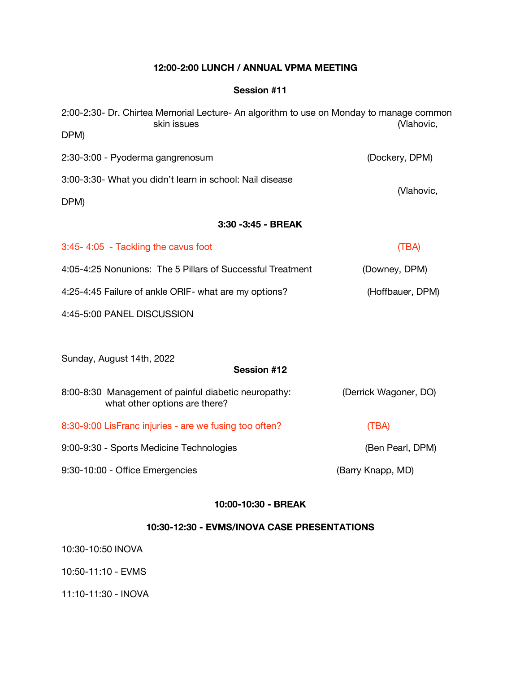## **12:00-2:00 LUNCH / ANNUAL VPMA MEETING**

## **Session #11**

| 2:00-2:30- Dr. Chirtea Memorial Lecture- An algorithm to use on Monday to manage common<br>skin issues | (Vlahovic,            |  |
|--------------------------------------------------------------------------------------------------------|-----------------------|--|
| DPM)                                                                                                   |                       |  |
| 2:30-3:00 - Pyoderma gangrenosum                                                                       | (Dockery, DPM)        |  |
| 3:00-3:30- What you didn't learn in school: Nail disease                                               |                       |  |
| DPM)                                                                                                   | (Vlahovic,            |  |
| 3:30 - 3:45 - BREAK                                                                                    |                       |  |
| 3:45-4:05 - Tackling the cavus foot                                                                    | (TBA)                 |  |
| 4:05-4:25 Nonunions: The 5 Pillars of Successful Treatment                                             | (Downey, DPM)         |  |
| 4:25-4:45 Failure of ankle ORIF- what are my options?                                                  | (Hoffbauer, DPM)      |  |
| 4:45-5:00 PANEL DISCUSSION                                                                             |                       |  |
|                                                                                                        |                       |  |
| Sunday, August 14th, 2022                                                                              |                       |  |
| <b>Session #12</b>                                                                                     |                       |  |
| 8:00-8:30 Management of painful diabetic neuropathy:<br>what other options are there?                  | (Derrick Wagoner, DO) |  |
| 8:30-9:00 LisFranc injuries - are we fusing too often?                                                 | (TBA)                 |  |
| 9:00-9:30 - Sports Medicine Technologies                                                               | (Ben Pearl, DPM)      |  |
| 9:30-10:00 - Office Emergencies                                                                        | (Barry Knapp, MD)     |  |
|                                                                                                        |                       |  |

## **10:00-10:30 - BREAK**

# **10:30-12:30 - EVMS/INOVA CASE PRESENTATIONS**

10:30-10:50 INOVA

10:50-11:10 - EVMS

11:10-11:30 - INOVA